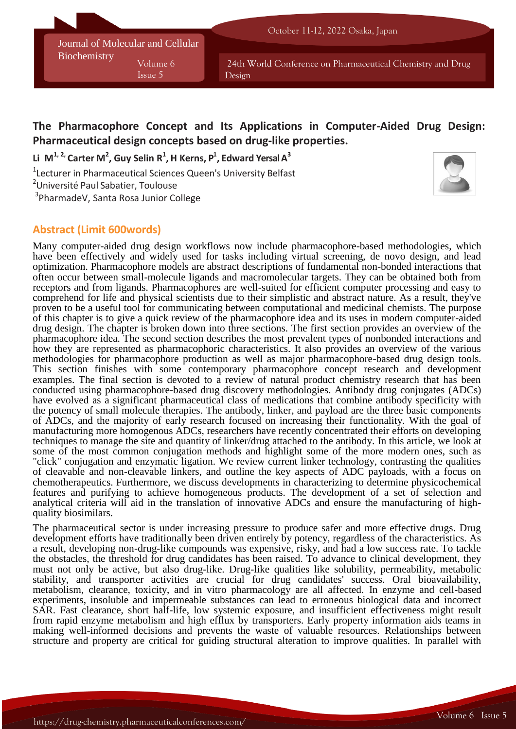Journal of Molecular and Cellular **Biochemistry** Volume 6

Issue 5

24th World Conference on Pharmaceutical Chemistry and Drug Design

# **The Pharmacophore Concept and Its Applications in Computer-Aided Drug Design: Pharmaceutical design concepts based on drug-like properties.**

**Li M 1, 2, Carter M 2 , Guy Selin R 1 , H Kerns, P 1 , Edward Yersal A 3**

<sup>1</sup>Lecturer in Pharmaceutical Sciences Queen's University Belfast

<sup>2</sup>Université Paul Sabatier, Toulouse

3 PharmadeV, Santa Rosa Junior College

## **Abstract (Limit 600words)**

Many computer-aided drug design workflows now include pharmacophore-based methodologies, which have been effectively and widely used for tasks including virtual screening, de novo design, and lead optimization. Pharmacophore models are abstract descriptions of fundamental non-bonded interactions that often occur between small-molecule ligands and macromolecular targets. They can be obtained both from receptors and from ligands. Pharmacophores are well-suited for efficient computer processing and easy to comprehend for life and physical scientists due to their simplistic and abstract nature. As a result, they've proven to be a useful tool for communicating between computational and medicinal chemists. The purpose of this chapter is to give a quick review of the pharmacophore idea and its uses in modern computer-aided drug design. The chapter is broken down into three sections. The first section provides an overview of the pharmacophore idea. The second section describes the most prevalent types of nonbonded interactions and how they are represented as pharmacophoric characteristics. It also provides an overview of the various methodologies for pharmacophore production as well as major pharmacophore-based drug design tools. This section finishes with some contemporary pharmacophore concept research and development examples. The final section is devoted to a review of natural product chemistry research that has been conducted using pharmacophore-based drug discovery methodologies. Antibody drug conjugates (ADCs) have evolved as a significant pharmaceutical class of medications that combine antibody specificity with the potency of small molecule therapies. The antibody, linker, and payload are the three basic components of ADCs, and the majority of early research focused on increasing their functionality. With the goal of manufacturing more homogenous ADCs, researchers have recently concentrated their efforts on developing techniques to manage the site and quantity of linker/drug attached to the antibody. In this article, we look at some of the most common conjugation methods and highlight some of the more modern ones, such as "click" conjugation and enzymatic ligation. We review current linker technology, contrasting the qualities of cleavable and non-cleavable linkers, and outline the key aspects of ADC payloads, with a focus on chemotherapeutics. Furthermore, we discuss developments in characterizing to determine physicochemical features and purifying to achieve homogeneous products. The development of a set of selection and analytical criteria will aid in the translation of innovative ADCs and ensure the manufacturing of highquality biosimilars.

The pharmaceutical sector is under increasing pressure to produce safer and more effective drugs. Drug development efforts have traditionally been driven entirely by potency, regardless of the characteristics. As a result, developing non-drug-like compounds was expensive, risky, and had a low success rate. To tackle the obstacles, the threshold for drug candidates has been raised. To advance to clinical development, they must not only be active, but also drug-like. Drug-like qualities like solubility, permeability, metabolic stability, and transporter activities are crucial for drug candidates' success. Oral bioavailability, metabolism, clearance, toxicity, and in vitro pharmacology are all affected. In enzyme and cell-based experiments, insoluble and impermeable substances can lead to erroneous biological data and incorrect SAR. Fast clearance, short half-life, low systemic exposure, and insufficient effectiveness might result from rapid enzyme metabolism and high efflux by transporters. Early property information aids teams in making well-informed decisions and prevents the waste of valuable resources. Relationships between structure and property are critical for guiding structural alteration to improve qualities. In parallel with



**Volume 10**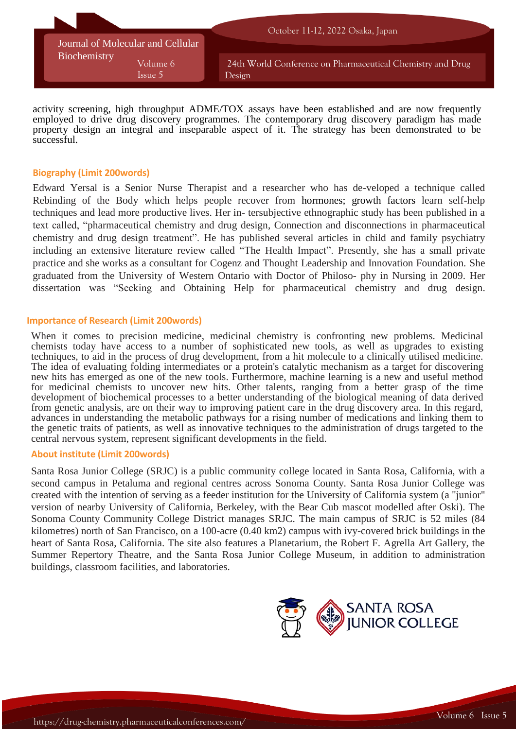

activity screening, high throughput ADME/TOX assays have been established and are now frequently employed to drive drug discovery programmes. The contemporary drug discovery paradigm has made property design an integral and inseparable aspect of it. The strategy has been demonstrated to be successful.

### **Biography (Limit 200words)**

Edward Yersal is a Senior Nurse Therapist and a researcher who has de-veloped a technique called Rebinding of the Body which helps people recover from hormones; growth factors learn self-help techniques and lead more productive lives. Her in- tersubjective ethnographic study has been published in a text called, "pharmaceutical chemistry and drug design, Connection and disconnections in pharmaceutical chemistry and drug design treatment". He has published several articles in child and family psychiatry including an extensive literature review called "The Health Impact". Presently, she has a small private practice and she works as a consultant for Cogenz and Thought Leadership and Innovation Foundation. She graduated from the University of Western Ontario with Doctor of Philoso- phy in Nursing in 2009. Her dissertation was "Seeking and Obtaining Help for pharmaceutical chemistry and drug design.

#### **Importance of Research (Limit 200words)**

When it comes to precision medicine, medicinal chemistry is confronting new problems. Medicinal chemists today have access to a number of sophisticated new tools, as well as upgrades to existing techniques, to aid in the process of drug development, from a hit molecule to a clinically utilised medicine. The idea of evaluating folding intermediates or a protein's catalytic mechanism as a target for discovering new hits has emerged as one of the new tools. Furthermore, machine learning is a new and useful method for medicinal chemists to uncover new hits. Other talents, ranging from a better grasp of the time development of biochemical processes to a better understanding of the biological meaning of data derived from genetic analysis, are on their way to improving patient care in the drug discovery area. In this regard, advances in understanding the metabolic pathways for a rising number of medications and linking them to the genetic traits of patients, as well as innovative techniques to the administration of drugs targeted to the central nervous system, represent significant developments in the field.

#### **About institute (Limit 200words)**

Santa Rosa Junior College (SRJC) is a public community college located in Santa Rosa, California, with a second campus in Petaluma and regional centres across Sonoma County. Santa Rosa Junior College was created with the intention of serving as a feeder institution for the University of California system (a "junior" version of nearby University of California, Berkeley, with the Bear Cub mascot modelled after Oski). The Sonoma County Community College District manages SRJC. The main campus of SRJC is 52 miles (84 kilometres) north of San Francisco, on a 100-acre (0.40 km2) campus with ivy-covered brick buildings in the heart of Santa Rosa, California. The site also features a Planetarium, the Robert F. Agrella Art Gallery, the Summer Repertory Theatre, and the Santa Rosa Junior College Museum, in addition to administration buildings, classroom facilities, and laboratories.